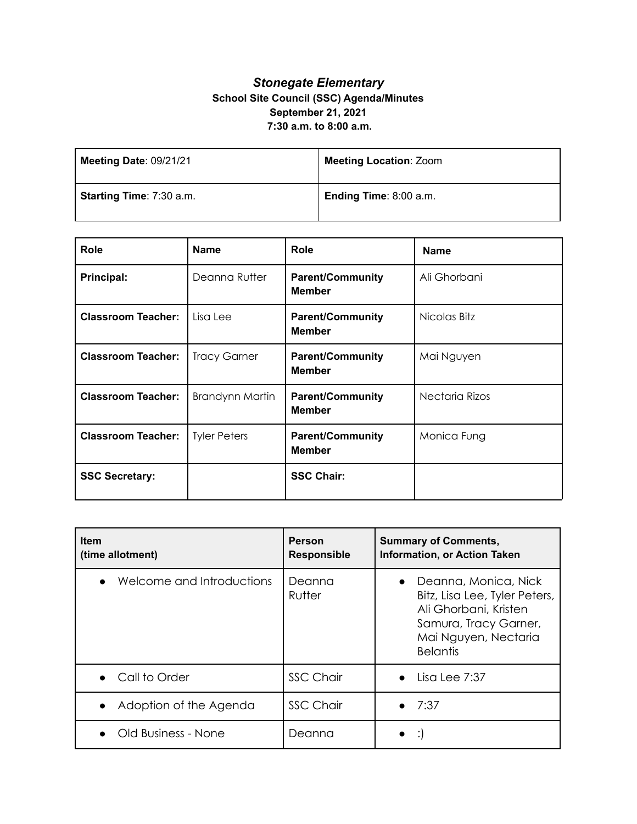## *Stonegate Elementary* **School Site Council (SSC) Agenda/Minutes September 21, 2021 7:30 a.m. to 8:00 a.m.**

| Meeting Date: 09/21/21   | <b>Meeting Location: Zoom</b> |
|--------------------------|-------------------------------|
| Starting Time: 7:30 a.m. | Ending Time: 8:00 a.m.        |

| <b>Role</b>               | <b>Name</b>            | <b>Role</b>                              | <b>Name</b>    |
|---------------------------|------------------------|------------------------------------------|----------------|
| Principal:                | Deanna Rutter          | <b>Parent/Community</b><br><b>Member</b> | Ali Ghorbani   |
| <b>Classroom Teacher:</b> | Lisa Lee               | <b>Parent/Community</b><br><b>Member</b> | Nicolas Bitz   |
| <b>Classroom Teacher:</b> | <b>Tracy Garner</b>    | <b>Parent/Community</b><br><b>Member</b> | Mai Nguyen     |
| <b>Classroom Teacher:</b> | <b>Brandynn Martin</b> | <b>Parent/Community</b><br><b>Member</b> | Nectaria Rizos |
| <b>Classroom Teacher:</b> | <b>Tyler Peters</b>    | <b>Parent/Community</b><br><b>Member</b> | Monica Fung    |
| <b>SSC Secretary:</b>     |                        | <b>SSC Chair:</b>                        |                |

| <b>Item</b><br>(time allotment) | <b>Person</b><br><b>Responsible</b> | <b>Summary of Comments,</b><br><b>Information, or Action Taken</b>                                                                                              |
|---------------------------------|-------------------------------------|-----------------------------------------------------------------------------------------------------------------------------------------------------------------|
| Welcome and Introductions       | Deanna<br>Rutter                    | Deanna, Monica, Nick<br>$\bullet$<br>Bitz, Lisa Lee, Tyler Peters,<br>Ali Ghorbani, Kristen<br>Samura, Tracy Garner,<br>Mai Nguyen, Nectaria<br><b>Belantis</b> |
| • Call to Order                 | <b>SSC Chair</b>                    | Lisa Lee 7:37                                                                                                                                                   |
| Adoption of the Agenda          | <b>SSC Chair</b>                    | 7:37                                                                                                                                                            |
| Old Business - None             | Deanna                              |                                                                                                                                                                 |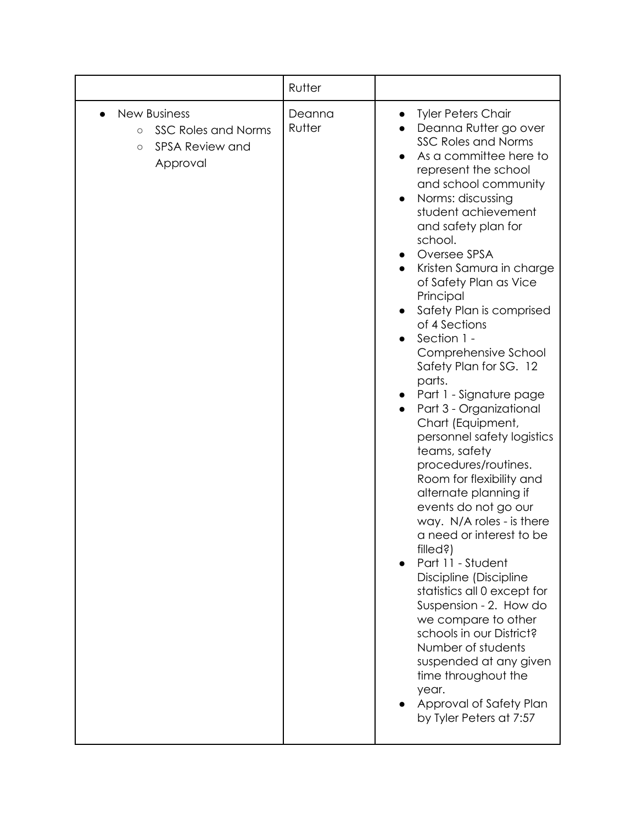|                                                                                                               | Rutter           |                                                                                                                                                                                                                                                                                                                                                                                                                                                                                                                                                                                                                                                                                                                                                                                                                                                                                                                                                                                                                                                                         |
|---------------------------------------------------------------------------------------------------------------|------------------|-------------------------------------------------------------------------------------------------------------------------------------------------------------------------------------------------------------------------------------------------------------------------------------------------------------------------------------------------------------------------------------------------------------------------------------------------------------------------------------------------------------------------------------------------------------------------------------------------------------------------------------------------------------------------------------------------------------------------------------------------------------------------------------------------------------------------------------------------------------------------------------------------------------------------------------------------------------------------------------------------------------------------------------------------------------------------|
| <b>New Business</b><br><b>SSC Roles and Norms</b><br>$\circ$<br><b>SPSA Review and</b><br>$\circ$<br>Approval | Deanna<br>Rutter | <b>Tyler Peters Chair</b><br>$\bullet$<br>Deanna Rutter go over<br><b>SSC Roles and Norms</b><br>As a committee here to<br>represent the school<br>and school community<br>Norms: discussing<br>student achievement<br>and safety plan for<br>school.<br>Oversee SPSA<br>Kristen Samura in charge<br>of Safety Plan as Vice<br>Principal<br>Safety Plan is comprised<br>of 4 Sections<br>Section 1 -<br>Comprehensive School<br>Safety Plan for SG. 12<br>parts.<br>Part 1 - Signature page<br>Part 3 - Organizational<br>Chart (Equipment,<br>personnel safety logistics<br>teams, safety<br>procedures/routines.<br>Room for flexibility and<br>alternate planning if<br>events do not go our<br>way. N/A roles - is there<br>a need or interest to be<br>$filed$ ?)<br>Part 11 - Student<br>Discipline (Discipline<br>statistics all 0 except for<br>Suspension - 2. How do<br>we compare to other<br>schools in our District?<br>Number of students<br>suspended at any given<br>time throughout the<br>year.<br>Approval of Safety Plan<br>by Tyler Peters at 7:57 |